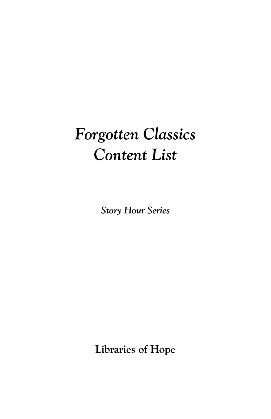# *Forgotten Classics Content List*

*Story Hour Series*

**Libraries of Hope**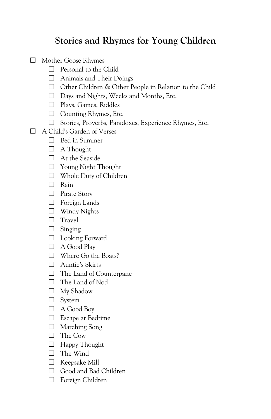#### **Stories and Rhymes for Young Children**

- ☐ Mother Goose Rhymes
	- □ Personal to the Child
	- ☐ Animals and Their Doings
	- ☐ Other Children & Other People in Relation to the Child
	- ☐ Days and Nights, Weeks and Months, Etc.
	- ☐ Plays, Games, Riddles
	- □ Counting Rhymes, Etc.
	- ☐ Stories, Proverbs, Paradoxes, Experience Rhymes, Etc.
- ☐ A Child's Garden of Verses
	- ☐ Bed in Summer
	- □ A Thought
	- □ At the Seaside
	- ☐ Young Night Thought
	- ☐ Whole Duty of Children
	- ☐ Rain
	- ☐ Pirate Story
	- ☐ Foreign Lands
	- ☐ Windy Nights
	- ☐ Travel
	- □ Singing
	- ☐ Looking Forward
	- □ A Good Play
	- ☐ Where Go the Boats?
	- ☐ Auntie's Skirts
	- □ The Land of Counterpane
	- ☐ The Land of Nod
	- ☐ My Shadow
	- □ System
	- ☐ A Good Boy
	- ☐ Escape at Bedtime
	- ☐ Marching Song
	- ☐ The Cow
	- ☐ Happy Thought
	- ☐ The Wind
	- ☐ Keepsake Mill
	- □ Good and Bad Children
	- ☐ Foreign Children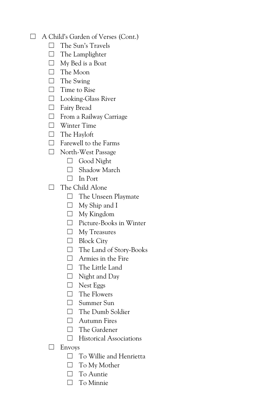- ☐ A Child's Garden of Verses (Cont.)
	- ☐ The Sun's Travels
	- □ The Lamplighter
	- $\Box$  My Bed is a Boat
	- ☐ The Moon
	- □ The Swing
	- ☐ Time to Rise
	- ☐ Looking-Glass River
	- □ Fairy Bread
	- ☐ From a Railway Carriage
	- ☐ Winter Time
	- ☐ The Hayloft
	- ☐ Farewell to the Farms
	- ☐ North-West Passage
		- ☐ Good Night
		- □ Shadow March
		- ☐ In Port
	- □ The Child Alone
		- □ The Unseen Playmate
		- $\Box$  My Ship and I
		- ☐ My Kingdom
		- ☐ Picture-Books in Winter
		- ☐ My Treasures
		- ☐ Block City
		- ☐ The Land of Story-Books
		- $\Box$  Armies in the Fire
		- ☐ The Little Land
		- ☐ Night and Day
		- ☐ Nest Eggs
		- ☐ The Flowers
		- □ Summer Sun
		- ☐ The Dumb Soldier
		- ☐ Autumn Fires
		- ☐ The Gardener
		- ☐ Historical Associations
	- ☐ Envoys
		- ☐ To Willie and Henrietta
		- ☐ To My Mother
		- □ To Auntie
		- ☐ To Minnie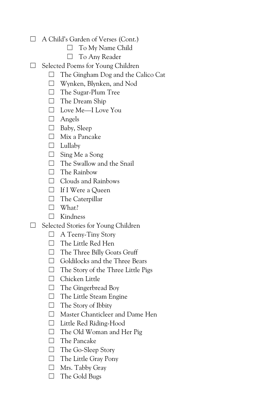- ☐ A Child's Garden of Verses (Cont.)
	- □ To My Name Child
	- ☐ To Any Reader
- ☐ Selected Poems for Young Children
	- ☐ The Gingham Dog and the Calico Cat
	- ☐ Wynken, Blynken, and Nod
	- □ The Sugar-Plum Tree
	- □ The Dream Ship
	- ☐ Love Me—I Love You
	- ☐ Angels
	- ☐ Baby, Sleep
	- ☐ Mix a Pancake
	- ☐ Lullaby
	- $\Box$  Sing Me a Song
	- □ The Swallow and the Snail
	- ☐ The Rainbow
	- ☐ Clouds and Rainbows
	- □ If I Were a Queen
	- □ The Caterpillar
	- ☐ What?
	- ☐ Kindness
- ☐ Selected Stories for Young Children
	- ☐ A Teeny-Tiny Story
	- ☐ The Little Red Hen
	- □ The Three Billy Goats Gruff
	- ☐ Goldilocks and the Three Bears
	- ☐ The Story of the Three Little Pigs
	- ☐ Chicken Little
	- ☐ The Gingerbread Boy
	- □ The Little Steam Engine
	- ☐ The Story of Ibbity
	- ☐ Master Chanticleer and Dame Hen
	- ☐ Little Red Riding-Hood
	- ☐ The Old Woman and Her Pig
	- ☐ The Pancake
	- ☐ The Go-Sleep Story
	- □ The Little Gray Pony
	- □ Mrs. Tabby Gray
	- ☐ The Gold Bugs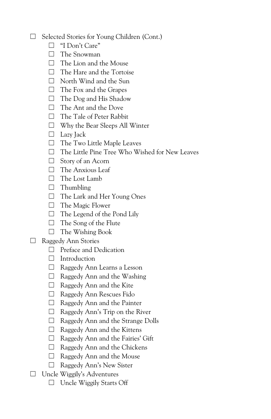- ☐ Selected Stories for Young Children (Cont.)
	- ☐ "I Don't Care"
	- □ The Snowman
	- $\Box$  The Lion and the Mouse
	- ☐ The Hare and the Tortoise
	- ☐ North Wind and the Sun
	- $\Box$  The Fox and the Grapes
	- ☐ The Dog and His Shadow
	- ☐ The Ant and the Dove
	- ☐ The Tale of Peter Rabbit
	- ☐ Why the Bear Sleeps All Winter
	- ☐ Lazy Jack
	- □ The Two Little Maple Leaves
	- ☐ The Little Pine Tree Who Wished for New Leaves
	- ☐ Story of an Acorn
	- $\Box$  The Anxious Leaf
	- ☐ The Lost Lamb
	- □ Thumbling
	- ☐ The Lark and Her Young Ones
	- ☐ The Magic Flower
	- ☐ The Legend of the Pond Lily
	- □ The Song of the Flute
	- ☐ The Wishing Book
- ☐ Raggedy Ann Stories
	- ☐ Preface and Dedication
	- ☐ Introduction
	- ☐ Raggedy Ann Learns a Lesson
	- ☐ Raggedy Ann and the Washing
	- $\Box$  Raggedy Ann and the Kite
	- ☐ Raggedy Ann Rescues Fido
	- ☐ Raggedy Ann and the Painter
	- $\Box$  Raggedy Ann's Trip on the River
	- $\Box$  Raggedy Ann and the Strange Dolls
	- $\Box$  Raggedy Ann and the Kittens
	- ☐ Raggedy Ann and the Fairies' Gift
	- $\Box$  Raggedy Ann and the Chickens
	- □ Raggedy Ann and the Mouse
	- ☐ Raggedy Ann's New Sister
- ☐ Uncle Wiggily's Adventures
	- ☐ Uncle Wiggily Starts Off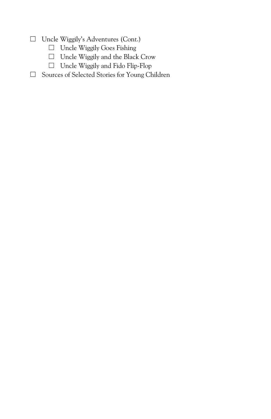- ☐ Uncle Wiggily's Adventures (Cont.)
	- ☐ Uncle Wiggily Goes Fishing
	- ☐ Uncle Wiggily and the Black Crow
	- ☐ Uncle Wiggily and Fido Flip-Flop
- ☐ Sources of Selected Stories for Young Children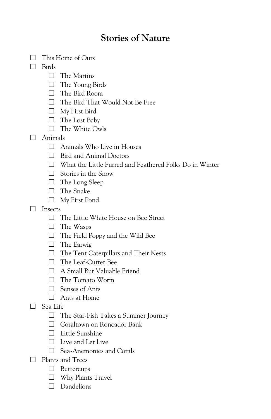# **Stories of Nature**

- ☐ This Home of Ours
- ☐ Birds
	- □ The Martins
	- ☐ The Young Birds
	- ☐ The Bird Room
	- ☐ The Bird That Would Not Be Free
	- ☐ My First Bird
	- ☐ The Lost Baby
	- ☐ The White Owls
- ☐ Animals
	- ☐ Animals Who Live in Houses
	- ☐ Bird and Animal Doctors
	- ☐ What the Little Furred and Feathered Folks Do in Winter
	- ☐ Stories in the Snow
	- ☐ The Long Sleep
	- ☐ The Snake
	- ☐ My First Pond
- ☐ Insects
	- ☐ The Little White House on Bee Street
	- ☐ The Wasps
	- ☐ The Field Poppy and the Wild Bee
	- ☐ The Earwig
	- ☐ The Tent Caterpillars and Their Nests
	- □ The Leaf-Cutter Bee
	- ☐ A Small But Valuable Friend
	- □ The Tomato Worm
	- ☐ Senses of Ants
	- ☐ Ants at Home
- ☐ Sea Life
	- ☐ The Star-Fish Takes a Summer Journey
	- ☐ Coraltown on Roncador Bank
	- ☐ Little Sunshine
	- ☐ Live and Let Live
	- ☐ Sea-Anemonies and Corals
- ☐ Plants and Trees
	- ☐ Buttercups
	- ☐ Why Plants Travel
	- ☐ Dandelions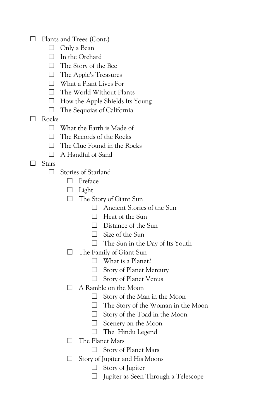- ☐ Plants and Trees (Cont.)
	- ☐ Only a Bean
	- ☐ In the Orchard
	- ☐ The Story of the Bee
	- ☐ The Apple's Treasures
	- ☐ What a Plant Lives For
	- ☐ The World Without Plants
	- $\Box$  How the Apple Shields Its Young
	- ☐ The Sequoias of California
- $\Box$  Rocks
	- ☐ What the Earth is Made of
	- ☐ The Records of the Rocks
	- $\Box$  The Clue Found in the Rocks
	- ☐ A Handful of Sand
- ☐ Stars
	- □ Stories of Starland
		- ☐ Preface
		- ☐ Light
		- □ The Story of Giant Sun
			- ☐ Ancient Stories of the Sun
			- $\Box$  Heat of the Sun
			- □ Distance of the Sun
			- ☐ Size of the Sun
			- ☐ The Sun in the Day of Its Youth
		- ☐ The Family of Giant Sun
			- ☐ What is a Planet?
			- ☐ Story of Planet Mercury
			- ☐ Story of Planet Venus
		- □ A Ramble on the Moon
			- ☐ Story of the Man in the Moon
			- ☐ The Story of the Woman in the Moon
			- ☐ Story of the Toad in the Moon
			- ☐ Scenery on the Moon
			- □ The Hindu Legend
		- ☐ The Planet Mars
			- □ Story of Planet Mars
		- ☐ Story of Jupiter and His Moons
			- ☐ Story of Jupiter
			- ☐ Jupiter as Seen Through a Telescope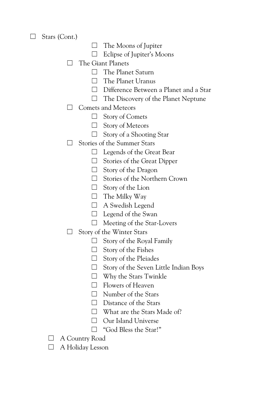☐ Stars (Cont.)

- □ The Moons of Jupiter
- ☐ Eclipse of Jupiter's Moons
- □ The Giant Planets
	- ☐ The Planet Saturn
	- ☐ The Planet Uranus
	- ☐ Difference Between a Planet and a Star
	- ☐ The Discovery of the Planet Neptune
- ☐ Comets and Meteors
	- ☐ Story of Comets
	- □ Story of Meteors
	- ☐ Story of a Shooting Star
- ☐ Stories of the Summer Stars
	- ☐ Legends of the Great Bear
	- ☐ Stories of the Great Dipper
	- $\Box$  Story of the Dragon
	- ☐ Stories of the Northern Crown
	- ☐ Story of the Lion
	- $\Box$  The Milky Way
	- ☐ A Swedish Legend
	- $\Box$  Legend of the Swan
	- ☐ Meeting of the Star-Lovers
- ☐ Story of the Winter Stars
	- $\Box$  Story of the Royal Family
	- $\Box$  Story of the Fishes
	- $\Box$  Story of the Pleiades
	- ☐ Story of the Seven Little Indian Boys
	- ☐ Why the Stars Twinkle
	- □ Flowers of Heaven
	- ☐ Number of the Stars
	- □ Distance of the Stars
	- ☐ What are the Stars Made of?
	- □ Our Island Universe
	- □ "God Bless the Star!"
- □ A Country Road
- □ A Holiday Lesson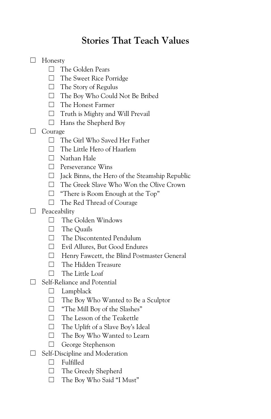# **Stories That Teach Values**

- ☐ Honesty
	- ☐ The Golden Pears
	- ☐ The Sweet Rice Porridge
	- $\Box$  The Story of Regulus
	- ☐ The Boy Who Could Not Be Bribed
	- ☐ The Honest Farmer
	- □ Truth is Mighty and Will Prevail
	- ☐ Hans the Shepherd Boy
- □ Courage
	- ☐ The Girl Who Saved Her Father
	- ☐ The Little Hero of Haarlem
	- ☐ Nathan Hale
	- □ Perseverance Wins
	- $\Box$  Jack Binns, the Hero of the Steamship Republic
	- ☐ The Greek Slave Who Won the Olive Crown
	- ☐ "There is Room Enough at the Top"
	- ☐ The Red Thread of Courage
- □ Peaceability
	- □ The Golden Windows
	- ☐ The Quails
	- ☐ The Discontented Pendulum
	- ☐ Evil Allures, But Good Endures
	- ☐ Henry Fawcett, the Blind Postmaster General
	- □ The Hidden Treasure
	- □ The Little Loaf
- ☐ Self-Reliance and Potential
	- ☐ Lampblack
	- ☐ The Boy Who Wanted to Be a Sculptor
	- □ "The Mill Boy of the Slashes"
	- ☐ The Lesson of the Teakettle
	- $\Box$  The Uplift of a Slave Boy's Ideal
	- ☐ The Boy Who Wanted to Learn
	- ☐ George Stephenson
- □ Self-Discipline and Moderation
	- ☐ Fulfilled
	- □ The Greedy Shepherd
	- ☐ The Boy Who Said "I Must"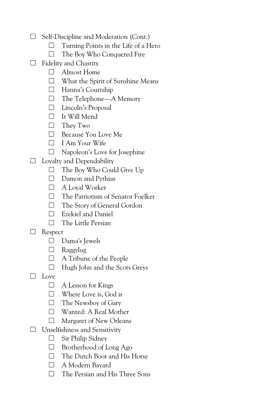- ☐ Self-Discipline and Moderation (Cont.)
	- $\Box$  Turning Points in the Life of a Hero
	- ☐ The Boy Who Conquered Fire
- $\Box$  Fidelity and Chastity
	- ☐ Almost Home
	- ☐ What the Spirit of Sunshine Means
	- ☐ Hanna's Courtship
	- ☐ The Telephone—A Memory
	- ☐ Lincoln's Proposal
	- ☐ It Will Mend
	- ☐ They Two
	- ☐ Because You Love Me
	- ☐ I Am Your Wife
	- ☐ Napoleon's Love for Josephine
- $\Box$  Loyalty and Dependability
	- ☐ The Boy Who Could Give Up
	- ☐ Damon and Pythias
	- ☐ A Loyal Worker
	- ☐ The Patriotism of Senator Foelker
	- ☐ The Story of General Gordon
	- ☐ Ezekiel and Daniel
	- □ The Little Persian
- ☐ Respect
	- ☐ Dama's Jewels
	- ☐ Raggylug
	- ☐ A Tribune of the People
	- ☐ Hugh John and the Scots Greys
- ☐ Love
	- $\Box$  A Lesson for Kings
	- ☐ Where Love is, God is
	- $\Box$  The Newsboy of Gary
	- ☐ Wanted: A Real Mother
	- □ Margaret of New Orleans
- ☐ Unselfishness and Sensitivity
	- $\Box$  Sir Philip Sidney
	- ☐ Brotherhood of Long Ago
	- ☐ The Dutch Boor and His Horse
	- ☐ A Modern Bayard
	- ☐ The Persian and His Three Sons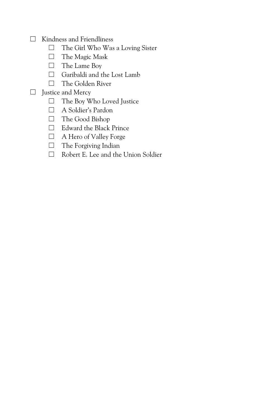- ☐ Kindness and Friendliness
	- ☐ The Girl Who Was a Loving Sister
	- □ The Magic Mask
	- ☐ The Lame Boy
	- □ Garibaldi and the Lost Lamb
	- ☐ The Golden River
- □ Justice and Mercy
	- ☐ The Boy Who Loved Justice
	- ☐ A Soldier's Pardon
	- ☐ The Good Bishop
	- ☐ Edward the Black Prince
	- ☐ A Hero of Valley Forge
	- □ The Forgiving Indian
	- ☐ Robert E. Lee and the Union Soldier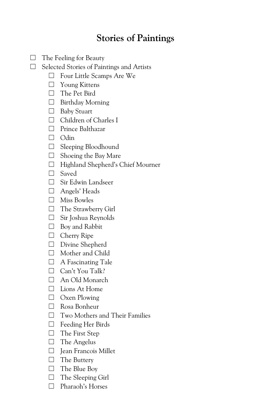# **Stories of Paintings**

- $\Box$  The Feeling for Beauty
- ☐ Selected Stories of Paintings and Artists
	- ☐ Four Little Scamps Are We
	- ☐ Young Kittens
	- ☐ The Pet Bird
	- ☐ Birthday Morning
	- ☐ Baby Stuart
	- ☐ Children of Charles I
	- ☐ Prince Balthazar
	- ☐ Odin
	- ☐ Sleeping Bloodhound
	- □ Shoeing the Bay Mare
	- ☐ Highland Shepherd's Chief Mourner
	- ☐ Saved
	- ☐ Sir Edwin Landseer
	- ☐ Angels' Heads
	- ☐ Miss Bowles
	- ☐ The Strawberry Girl
	- ☐ Sir Joshua Reynolds
	- ☐ Boy and Rabbit
	- ☐ Cherry Ripe
	- ☐ Divine Shepherd
	- □ Mother and Child
	- □ A Fascinating Tale
	- ☐ Can't You Talk?
	- ☐ An Old Monarch
	- ☐ Lions At Home
	- ☐ Oxen Plowing
	- ☐ Rosa Bonheur
	- ☐ Two Mothers and Their Families
	- ☐ Feeding Her Birds
	- ☐ The First Step
	- □ The Angelus
	- ☐ Jean Francois Millet
	- □ The Buttery
	- ☐ The Blue Boy
	- ☐ The Sleeping Girl
	- ☐ Pharaoh's Horses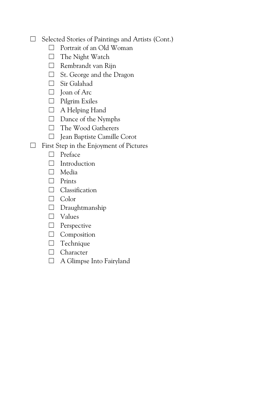- ☐ Selected Stories of Paintings and Artists (Cont.)
	- ☐ Portrait of an Old Woman
	- □ The Night Watch
	- ☐ Rembrandt van Rijn
	- ☐ St. George and the Dragon
	- ☐ Sir Galahad
	- □ Joan of Arc
	- ☐ Pilgrim Exiles
	- □ A Helping Hand
	- ☐ Dance of the Nymphs
	- ☐ The Wood Gatherers
	- ☐ Jean Baptiste Camille Corot
- ☐ First Step in the Enjoyment of Pictures
	- ☐ Preface
	- □ Introduction
	- ☐ Media
	- ☐ Prints
	- □ Classification
	- ☐ Color
	- ☐ Draughtmanship
	- ☐ Values
	- □ Perspective
	- ☐ Composition
	- ☐ Technique
	- □ Character
	- ☐ A Glimpse Into Fairyland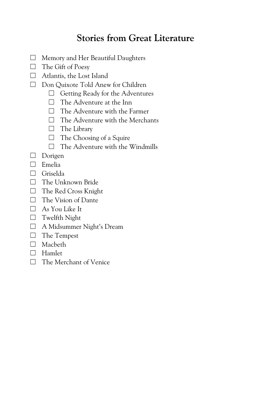#### **Stories from Great Literature**

- ☐ Memory and Her Beautiful Daughters
- ☐ The Gift of Poesy
- ☐ Atlantis, the Lost Island
- ☐ Don Quixote Told Anew for Children
	- ☐ Getting Ready for the Adventures
	- ☐ The Adventure at the Inn
	- ☐ The Adventure with the Farmer
	- ☐ The Adventure with the Merchants
	- ☐ The Library
	- ☐ The Choosing of a Squire
	- ☐ The Adventure with the Windmills
- ☐ Dorigen
- ☐ Emelia
- ☐ Griselda
- □ The Unknown Bride
- ☐ The Red Cross Knight
- □ The Vision of Dante
- $\Box$  As You Like It
- □ Twelfth Night
- ☐ A Midsummer Night's Dream
- ☐ The Tempest
- ☐ Macbeth
- ☐ Hamlet
- ☐ The Merchant of Venice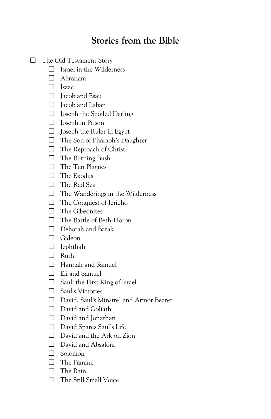# **Stories from the Bible**

□ The Old Testament Story

- $\Box$  Israel in the Wilderness
- ☐ Abraham
- ☐ Isaac
- □ Jacob and Esau
- ☐ Jacob and Laban
- $\Box$  Joseph the Spoiled Darling
- ☐ Joseph in Prison
- ☐ Joseph the Ruler in Egypt
- ☐ The Son of Pharaoh's Daughter
- ☐ The Reproach of Christ
- □ The Burning Bush
- ☐ The Ten Plagues
- ☐ The Exodus
- ☐ The Red Sea
- ☐ The Wanderings in the Wilderness
- ☐ The Conquest of Jericho
- ☐ The Gibeonites
- ☐ The Battle of Beth-Horon
- ☐ Deborah and Barak
- □ Gideon
- ☐ Jephthah
- ☐ Ruth
- □ Hannah and Samuel
- □ Eli and Samuel
- ☐ Saul, the First King of Israel
- ☐ Saul's Victories
- ☐ David, Saul's Minstrel and Armor Bearer
- ☐ David and Goliath
- ☐ David and Jonathan
- ☐ David Spares Saul's Life
- □ David and the Ark on Zion
- ☐ David and Absalom
- ☐ Solomon
- □ The Famine
- ☐ The Rain
- □ The Still Small Voice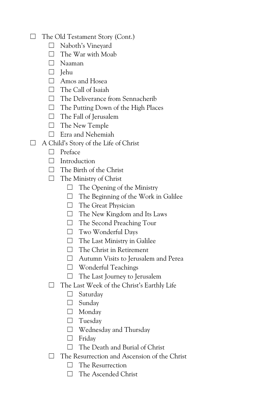- ☐ The Old Testament Story (Cont.)
	- ☐ Naboth's Vineyard
	- ☐ The War with Moab
	- ☐ Naaman
	- ☐ Jehu
	- ☐ Amos and Hosea
	- □ The Call of Isaiah
	- □ The Deliverance from Sennacherib
	- ☐ The Putting Down of the High Places
	- $\Box$  The Fall of Jerusalem
	- □ The New Temple
	- ☐ Ezra and Nehemiah
- ☐ A Child's Story of the Life of Christ
	- ☐ Preface
	- ☐ Introduction
	- ☐ The Birth of the Christ
	- $\Box$  The Ministry of Christ
		- $\Box$  The Opening of the Ministry
		- $\Box$  The Beginning of the Work in Galilee
		- □ The Great Physician
		- $\Box$  The New Kingdom and Its Laws
		- ☐ The Second Preaching Tour
		- ☐ Two Wonderful Days
		- $\Box$  The Last Ministry in Galilee
		- ☐ The Christ in Retirement
		- ☐ Autumn Visits to Jerusalem and Perea
		- ☐ Wonderful Teachings
		- ☐ The Last Journey to Jerusalem
	- ☐ The Last Week of the Christ's Earthly Life
		- ☐ Saturday
		- ☐ Sunday
		- ☐ Monday
		- ☐ Tuesday
		- ☐ Wednesday and Thursday
		- ☐ Friday
		- ☐ The Death and Burial of Christ
	- ☐ The Resurrection and Ascension of the Christ
		- □ The Resurrection
		- ☐ The Ascended Christ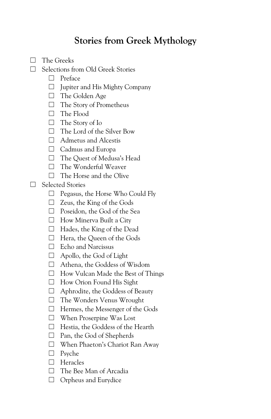# **Stories from Greek Mythology**

- ☐ The Greeks
- ☐ Selections from Old Greek Stories
	- ☐ Preface
	- ☐ Jupiter and His Mighty Company
	- ☐ The Golden Age
	- ☐ The Story of Prometheus
	- ☐ The Flood
	- ☐ The Story of Io
	- ☐ The Lord of the Silver Bow
	- □ Admetus and Alcestis
	- ☐ Cadmus and Europa
	- ☐ The Quest of Medusa's Head
	- ☐ The Wonderful Weaver
	- ☐ The Horse and the Olive

□ Selected Stories

- $\Box$  Pegasus, the Horse Who Could Fly
- $\Box$  Zeus, the King of the Gods
- ☐ Poseidon, the God of the Sea
- ☐ How Minerva Built a City
- ☐ Hades, the King of the Dead
- ☐ Hera, the Queen of the Gods
- ☐ Echo and Narcissus
- ☐ Apollo, the God of Light
- ☐ Athena, the Goddess of Wisdom
- ☐ How Vulcan Made the Best of Things
- ☐ How Orion Found His Sight
- ☐ Aphrodite, the Goddess of Beauty
- ☐ The Wonders Venus Wrought
- ☐ Hermes, the Messenger of the Gods
- ☐ When Proserpine Was Lost
- ☐ Hestia, the Goddess of the Hearth
- ☐ Pan, the God of Shepherds
- ☐ When Phaeton's Chariot Ran Away
- ☐ Psyche
- ☐ Heracles
- □ The Bee Man of Arcadia
- □ Orpheus and Eurydice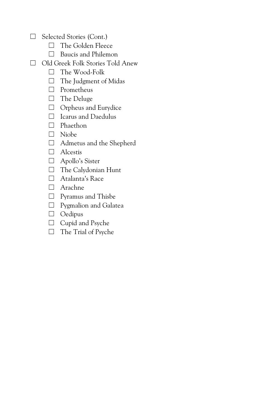- ☐ Selected Stories (Cont.)
	- □ The Golden Fleece
	- ☐ Baucis and Philemon
- ☐ Old Greek Folk Stories Told Anew
	- ☐ The Wood-Folk
	- □ The Judgment of Midas
	- ☐ Prometheus
	- ☐ The Deluge
	- □ Orpheus and Eurydice
	- ☐ Icarus and Daedulus
	- ☐ Phaethon
	- ☐ Niobe
	- ☐ Admetus and the Shepherd
	- ☐ Alcestis
	- □ Apollo's Sister
	- □ The Calydonian Hunt
	- ☐ Atalanta's Race
	- ☐ Arachne
	- ☐ Pyramus and Thisbe
	- ☐ Pygmalion and Galatea
	- ☐ Oedipus
	- ☐ Cupid and Psyche
	- ☐ The Trial of Psyche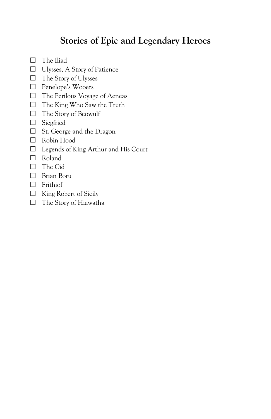# **Stories of Epic and Legendary Heroes**

- □ The Iliad
- ☐ Ulysses, A Story of Patience
- ☐ The Story of Ulysses
- ☐ Penelope's Wooers
- ☐ The Perilous Voyage of Aeneas
- ☐ The King Who Saw the Truth
- ☐ The Story of Beowulf
- ☐ Siegfried
- ☐ St. George and the Dragon
- ☐ Robin Hood
- ☐ Legends of King Arthur and His Court
- ☐ Roland
- ☐ The Cid
- □ Brian Boru
- ☐ Frithiof
- ☐ King Robert of Sicily
- □ The Story of Hiawatha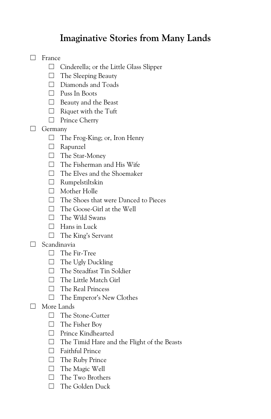# **Imaginative Stories from Many Lands**

#### ☐ France

- ☐ Cinderella; or the Little Glass Slipper
- □ The Sleeping Beauty
- ☐ Diamonds and Toads
- ☐ Puss In Boots
- □ Beauty and the Beast
- □ Riquet with the Tuft
- ☐ Prince Cherry
- ☐ Germany
	- $\Box$  The Frog-King; or, Iron Henry
	- ☐ Rapunzel
	- □ The Star-Money
	- ☐ The Fisherman and His Wife
	- ☐ The Elves and the Shoemaker
	- ☐ Rumpelstiltskin
	- ☐ Mother Holle
	- ☐ The Shoes that were Danced to Pieces
	- ☐ The Goose-Girl at the Well
	- $\Box$  The Wild Swans
	- $\Box$  Hans in Luck
	- □ The King's Servant
- ☐ Scandinavia
	- ☐ The Fir-Tree
	- ☐ The Ugly Duckling
	- ☐ The Steadfast Tin Soldier
	- □ The Little Match Girl
	- ☐ The Real Princess
	- ☐ The Emperor's New Clothes
- ☐ More Lands
	- ☐ The Stone-Cutter
	- ☐ The Fisher Boy
	- ☐ Prince Kindhearted
	- ☐ The Timid Hare and the Flight of the Beasts
	- ☐ Faithful Prince
	- ☐ The Ruby Prince
	- □ The Magic Well
	- □ The Two Brothers
	- □ The Golden Duck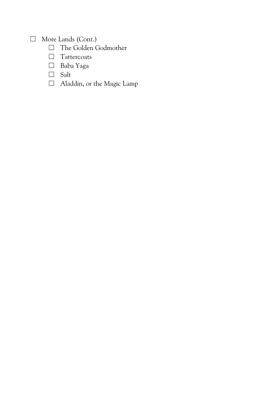☐ More Lands (Cont.)

- ☐ The Golden Godmother
- ☐ Tattercoats
- ☐ Baba Yaga
- $\hfill \square$  Salt
- ☐ Aladdin, or the Magic Lamp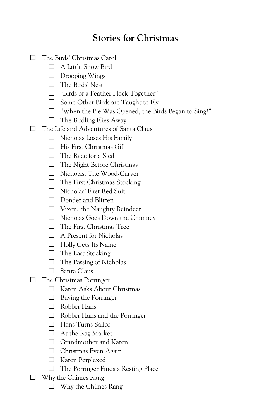#### **Stories for Christmas**

- ☐ The Birds' Christmas Carol
	- ☐ A Little Snow Bird
	- ☐ Drooping Wings
	- ☐ The Birds' Nest
	- ☐ "Birds of a Feather Flock Together"
	- ☐ Some Other Birds are Taught to Fly
	- ☐ "When the Pie Was Opened, the Birds Began to Sing!"
	- $\Box$  The Birdling Flies Away
- ☐ The Life and Adventures of Santa Claus
	- ☐ Nicholas Loses His Family
	- ☐ His First Christmas Gift
	- ☐ The Race for a Sled
	- ☐ The Night Before Christmas
	- ☐ Nicholas, The Wood-Carver
	- ☐ The First Christmas Stocking
	- ☐ Nicholas' First Red Suit
	- ☐ Donder and Blitzen
	- ☐ Vixen, the Naughty Reindeer
	- ☐ Nicholas Goes Down the Chimney
	- ☐ The First Christmas Tree
	- □ A Present for Nicholas
	- □ Holly Gets Its Name
	- ☐ The Last Stocking
	- □ The Passing of Nicholas
	- ☐ Santa Claus
- □ The Christmas Porringer
	- ☐ Karen Asks About Christmas
	- $\Box$  Buying the Porringer
	- ☐ Robber Hans
	- ☐ Robber Hans and the Porringer
	- ☐ Hans Turns Sailor
	- ☐ At the Rag Market
	- □ Grandmother and Karen
	- □ Christmas Even Again
	- ☐ Karen Perplexed
	- ☐ The Porringer Finds a Resting Place
- ☐ Why the Chimes Rang
	- ☐ Why the Chimes Rang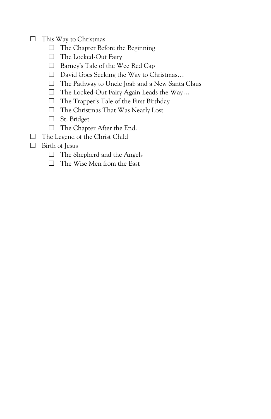- □ This Way to Christmas
	- $\Box$  The Chapter Before the Beginning
	- ☐ The Locked-Out Fairy
	- ☐ Barney's Tale of the Wee Red Cap
	- ☐ David Goes Seeking the Way to Christmas…
	- ☐ The Pathway to Uncle Joab and a New Santa Claus
	- ☐ The Locked-Out Fairy Again Leads the Way…
	- ☐ The Trapper's Tale of the First Birthday
	- ☐ The Christmas That Was Nearly Lost
	- ☐ St. Bridget
	- □ The Chapter After the End.
- ☐ The Legend of the Christ Child
- ☐ Birth of Jesus
	- ☐ The Shepherd and the Angels
	- ☐ The Wise Men from the East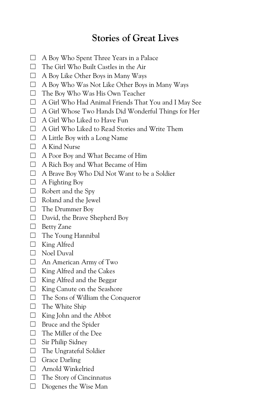#### **Stories of Great Lives**

- ☐ A Boy Who Spent Three Years in a Palace
- ☐ The Girl Who Built Castles in the Air
- $\Box$  A Boy Like Other Boys in Many Ways
- $\Box$  A Boy Who Was Not Like Other Boys in Many Ways
- ☐ The Boy Who Was His Own Teacher
- ☐ A Girl Who Had Animal Friends That You and I May See
- ☐ A Girl Whose Two Hands Did Wonderful Things for Her
- ☐ A Girl Who Liked to Have Fun
- ☐ A Girl Who Liked to Read Stories and Write Them
- $\Box$  A Little Boy with a Long Name
- ☐ A Kind Nurse
- ☐ A Poor Boy and What Became of Him
- ☐ A Rich Boy and What Became of Him
- ☐ A Brave Boy Who Did Not Want to be a Soldier
- $\Box$  A Fighting Boy
- $\Box$  Robert and the Spy
- □ Roland and the Jewel
- ☐ The Drummer Boy
- ☐ David, the Brave Shepherd Boy
- ☐ Betty Zane
- □ The Young Hannibal
- ☐ King Alfred
- ☐ Noel Duval
- ☐ An American Army of Two
- ☐ King Alfred and the Cakes
- $\Box$  King Alfred and the Beggar
- □ King Canute on the Seashore
- ☐ The Sons of William the Conqueror
- $\Box$  The White Ship
- $\Box$  King John and the Abbot
- □ Bruce and the Spider
- ☐ The Miller of the Dee
- $\Box$  Sir Philip Sidney
- □ The Ungrateful Soldier
- □ Grace Darling
- ☐ Arnold Winkelried
- ☐ The Story of Cincinnatus
- $\Box$  Diogenes the Wise Man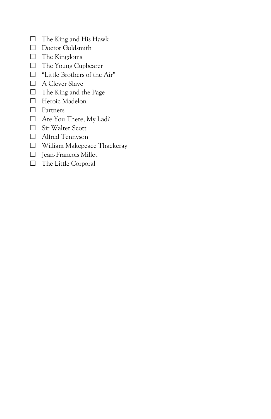- $\Box$  The King and His Hawk
- ☐ Doctor Goldsmith
- ☐ The Kingdoms
- ☐ The Young Cupbearer
- ☐ "Little Brothers of the Air"
- □ A Clever Slave
- $\Box$  The King and the Page
- □ Heroic Madelon
- ☐ Partners
- □ Are You There, My Lad?
- ☐ Sir Walter Scott
- ☐ Alfred Tennyson
- ☐ William Makepeace Thackeray
- ☐ Jean-Francois Millet
- □ The Little Corporal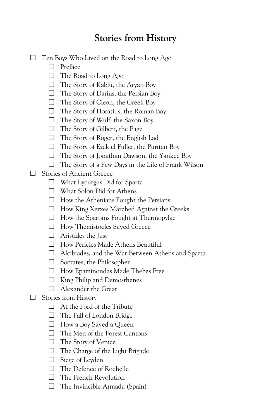#### **Stories from History**

- ☐ Ten Boys Who Lived on the Road to Long Ago
	- ☐ Preface
	- $\Box$  The Road to Long Ago
	- $\Box$  The Story of Kablu, the Aryan Boy
	- ☐ The Story of Darius, the Persian Boy
	- ☐ The Story of Cleon, the Greek Boy
	- ☐ The Story of Horatius, the Roman Boy
	- ☐ The Story of Wulf, the Saxon Boy
	- ☐ The Story of Gilbert, the Page
	- ☐ The Story of Roger, the English Lad
	- ☐ The Story of Ezekiel Fuller, the Puritan Boy
	- ☐ The Story of Jonathan Dawson, the Yankee Boy
	- ☐ The Story of a Few Days in the Life of Frank Wilson
- ☐ Stories of Ancient Greece
	- ☐ What Lycurgus Did for Sparta
	- ☐ What Solon Did for Athens
	- ☐ How the Athenians Fought the Persians
	- ☐ How King Xerxes Marched Against the Greeks
	- ☐ How the Spartans Fought at Thermopylae
	- ☐ How Themistocles Saved Greece
	- □ Aristides the Just
	- ☐ How Pericles Made Athens Beautiful
	- ☐ Alcibiades, and the War Between Athens and Sparta
	- ☐ Socrates, the Philosopher
	- ☐ How Epaminondas Made Thebes Free
	- ☐ King Philip and Demosthenes
	- □ Alexander the Great
- □ Stories from History
	- $\Box$  At the Ford of the Tribute
	- ☐ The Fall of London Bridge
	- □ How a Boy Saved a Queen
	- ☐ The Men of the Forest Cantons
	- ☐ The Story of Venice
	- ☐ The Charge of the Light Brigade
	- □ Siege of Leyden
	- ☐ The Defence of Rochelle
	- ☐ The French Revolution
	- $\Box$  The Invincible Armada (Spain)